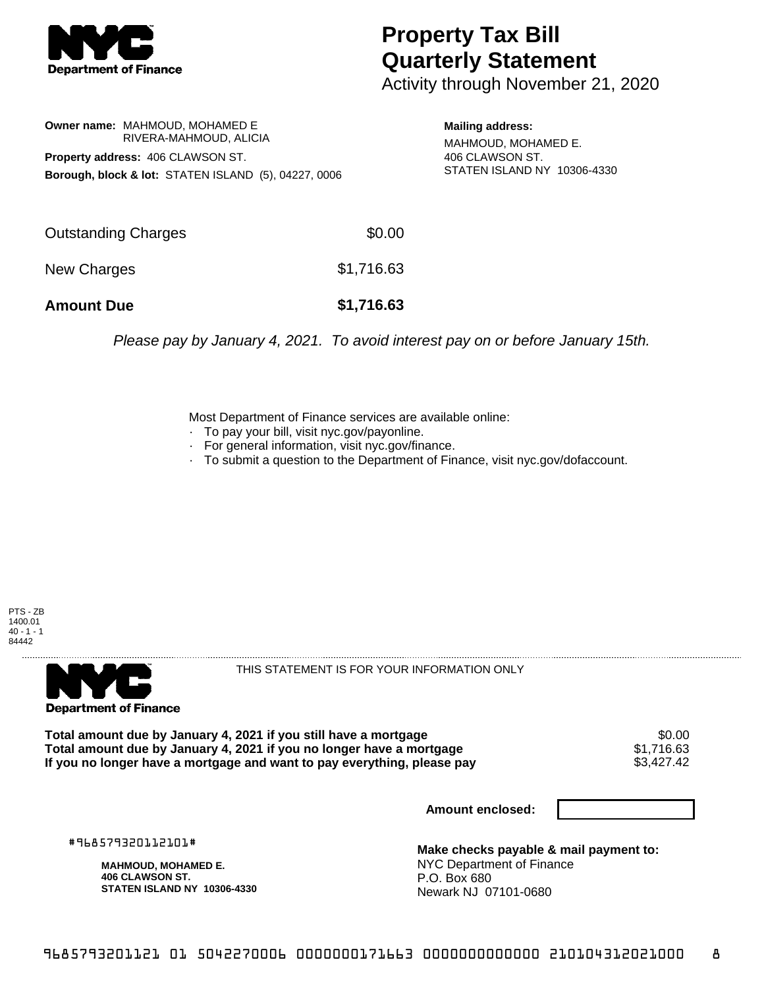

## **Property Tax Bill Quarterly Statement**

Activity through November 21, 2020

**Owner name:** MAHMOUD, MOHAMED E RIVERA-MAHMOUD, ALICIA **Property address:** 406 CLAWSON ST. **Borough, block & lot:** STATEN ISLAND (5), 04227, 0006

**Mailing address:** MAHMOUD, MOHAMED E. 406 CLAWSON ST. STATEN ISLAND NY 10306-4330

| <b>Amount Due</b>   | \$1,716.63 |
|---------------------|------------|
| New Charges         | \$1,716.63 |
| Outstanding Charges | \$0.00     |

Please pay by January 4, 2021. To avoid interest pay on or before January 15th.

Most Department of Finance services are available online:

- · To pay your bill, visit nyc.gov/payonline.
- For general information, visit nyc.gov/finance.
- · To submit a question to the Department of Finance, visit nyc.gov/dofaccount.

PTS - ZB 1400.01  $40 - 1 - 1$ 84442



THIS STATEMENT IS FOR YOUR INFORMATION ONLY

Total amount due by January 4, 2021 if you still have a mortgage  $$0.00$ <br>Total amount due by January 4, 2021 if you no longer have a mortgage  $$1,716.63$ **Total amount due by January 4, 2021 if you no longer have a mortgage**  $$1,716.63$ **<br>If you no longer have a mortgage and want to pay everything, please pay <b>show that have a** \$3,427.42 If you no longer have a mortgage and want to pay everything, please pay

**Amount enclosed:**

#968579320112101#

**MAHMOUD, MOHAMED E. 406 CLAWSON ST. STATEN ISLAND NY 10306-4330**

**Make checks payable & mail payment to:** NYC Department of Finance P.O. Box 680 Newark NJ 07101-0680